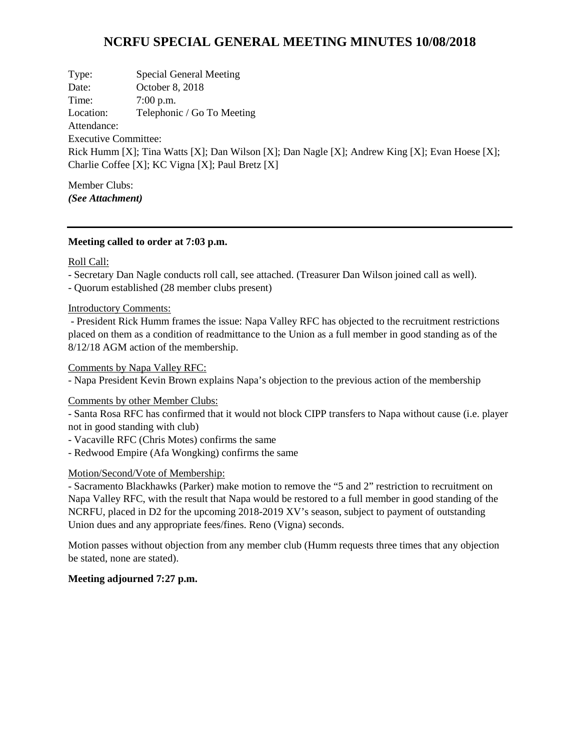# **NCRFU SPECIAL GENERAL MEETING MINUTES 10/08/2018**

Type: Special General Meeting Date: October 8, 2018 Time: 7:00 p.m. Location: Telephonic / Go To Meeting Attendance: Executive Committee: Rick Humm [X]; Tina Watts [X]; Dan Wilson [X]; Dan Nagle [X]; Andrew King [X]; Evan Hoese [X]; Charlie Coffee [X]; KC Vigna [X]; Paul Bretz [X]

Member Clubs: *(See Attachment)*

## **Meeting called to order at 7:03 p.m.**

#### Roll Call:

- Secretary Dan Nagle conducts roll call, see attached. (Treasurer Dan Wilson joined call as well).

- Quorum established (28 member clubs present)

#### Introductory Comments:

- President Rick Humm frames the issue: Napa Valley RFC has objected to the recruitment restrictions placed on them as a condition of readmittance to the Union as a full member in good standing as of the 8/12/18 AGM action of the membership.

#### Comments by Napa Valley RFC:

- Napa President Kevin Brown explains Napa's objection to the previous action of the membership

# Comments by other Member Clubs:

- Santa Rosa RFC has confirmed that it would not block CIPP transfers to Napa without cause (i.e. player not in good standing with club)

- Vacaville RFC (Chris Motes) confirms the same
- Redwood Empire (Afa Wongking) confirms the same

## Motion/Second/Vote of Membership:

- Sacramento Blackhawks (Parker) make motion to remove the "5 and 2" restriction to recruitment on Napa Valley RFC, with the result that Napa would be restored to a full member in good standing of the NCRFU, placed in D2 for the upcoming 2018-2019 XV's season, subject to payment of outstanding Union dues and any appropriate fees/fines. Reno (Vigna) seconds.

Motion passes without objection from any member club (Humm requests three times that any objection be stated, none are stated).

# **Meeting adjourned 7:27 p.m.**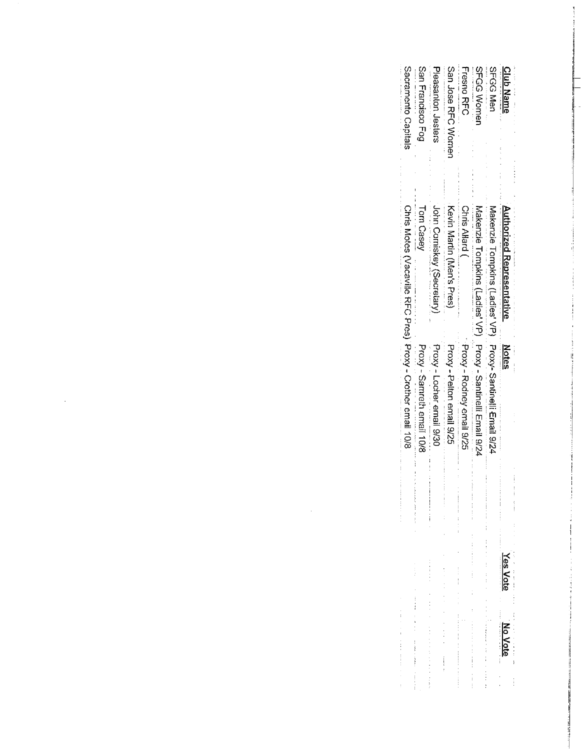| <b>Club Name</b>                                                                                                            | Authorized Representative                                    | Notes<br>:<br>;<br>;                       | 医心包 医心包 医心包 医单位 医心包的<br>Yes Voti                   | NOVOIE               |
|-----------------------------------------------------------------------------------------------------------------------------|--------------------------------------------------------------|--------------------------------------------|----------------------------------------------------|----------------------|
| SFGG Men<br>more than the first contract of the contract of the contract of the contract of the contract of the contract of | Makenzie Tompkins (Ladies' VP) Froxy-Santinelli Email 9/24   |                                            |                                                    |                      |
| <b>SFGS Women</b>                                                                                                           | Makenzie Tompkins (Ladies' VP) Proxy - Santinelli Email 9/24 |                                            |                                                    |                      |
| <b>Fresho RHC</b>                                                                                                           | <b>Chris Allard (</b>                                        | - Proxy - Rodney email 9/25                | 医皮肤 医皮肤性 医心包 医心包                                   |                      |
| San Jose RHC Women                                                                                                          | Kevin Martin (Men's Press)                                   | Proxy - Pelton email 9/25                  | and the state of the character of any complete and |                      |
| Pleasanton Jesters                                                                                                          | John Comiskey (Secretary                                     | Proxy - Locher email 9/30<br>$\frac{1}{2}$ |                                                    | $\ddot{\phantom{a}}$ |
| San Francisco Fog                                                                                                           | Tom Casey                                                    | Proxy - Semeth email 10/8                  |                                                    |                      |
| Sacramento Capitals                                                                                                         | Chris Motes (Vacaville RFC Pres) Proxy - Crother email 10/8  |                                            | and deatheast communication and the con-           |                      |

 $\label{eq:2.1} \mathcal{L}(\mathcal{L}^{\text{max}}_{\mathcal{L}}(\mathcal{L}^{\text{max}}_{\mathcal{L}}))\leq \mathcal{L}(\mathcal{L}^{\text{max}}_{\mathcal{L}}(\mathcal{L}^{\text{max}}_{\mathcal{L}}))$ 

 $\label{eq:2.1} \frac{1}{\sqrt{2}}\int_{\mathbb{R}^3}\frac{1}{\sqrt{2}}\left(\frac{1}{\sqrt{2}}\right)^2\frac{1}{\sqrt{2}}\left(\frac{1}{\sqrt{2}}\right)^2\frac{1}{\sqrt{2}}\left(\frac{1}{\sqrt{2}}\right)^2.$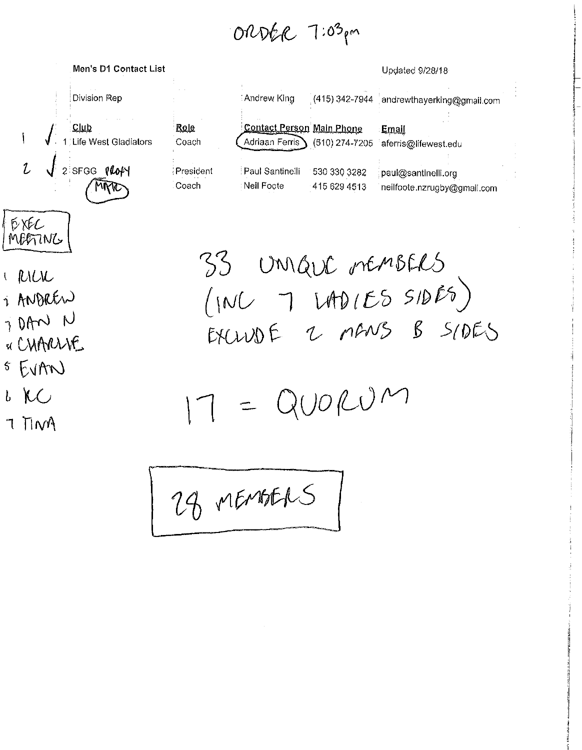ORDER 7:03pm



 $DXFC$ MEGTING

- I RILIL
- 1 ANDREW
- 7 DAN N
- « CHARLIVE
- $555170$
- $b$  KC
- 7 TIM

| : Andrew King   | (415) 342-7944 | andrewthayerking@gmail.com                                     |
|-----------------|----------------|----------------------------------------------------------------|
| Adriaan Ferris  |                | <u>Email</u><br>(510) 274-7205 aferris@lifewest.edu            |
| Paul Santinelli | 530 330 3282   | paul@santinelli.org<br>neilfoote.nzrugby@gmail.com             |
|                 |                | <b>Contact Person Main Phone</b><br>Neil Foote<br>415 629 4513 |

Updated 9/28/18

33 Unique rémotels  $(1NUT)100(ES SIDES)$ EXCLUDE 2 MANS B SIDES

 $7 = QU0RUM$ 

24 MEMBERS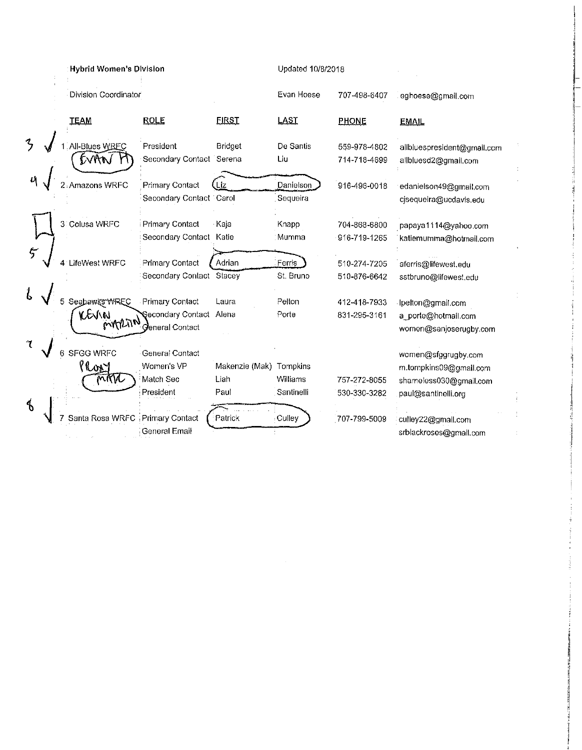|                     | <b>Hybrid Women's Division</b> |                          |                | Updated 10/8/2018 |              |                             |  |
|---------------------|--------------------------------|--------------------------|----------------|-------------------|--------------|-----------------------------|--|
|                     | Division Coordinator           |                          |                | Evan Hoese        | 707-498-6407 | eghoese@gmail.com           |  |
|                     | <b>TEAM</b>                    | <b>ROLE</b>              | <b>FIRST</b>   | LAST              | <b>PHONE</b> | <b>EMAIL</b>                |  |
| $\mathcal{L}$       | All-Blues WREC                 | President                | <b>Bridget</b> | De Santis         | 559-978-4802 | alibluespresident@gmail.com |  |
|                     | DVAN                           | Secondary Contact Serena |                | Liu               | 714-718-4699 | allbluesd2@gmail.com        |  |
|                     | 2 Amazons WRFC                 | <b>Primary Contact</b>   | Liz            | Danielson         | 916-496-0018 | edanielson49@gmail.com      |  |
|                     |                                | Secondary Contact Carol  |                | Sequeira          |              | cjsequeira@ucdavis.edu      |  |
|                     | 3 Colusa WRFC                  | Primary Contact          | Kaja           | Knapp             | 704-868-6800 | papaya1114@yahoo.com        |  |
|                     |                                | Secondary Contact Katie  |                | Mumma             | 916-719-1265 | katiemumma@hotmail.com      |  |
| 5                   | 4 LifeWest WRFC                | <b>Primary Contact</b>   | Adrian         | Ferris            | 510-274-7205 | aferris@lifewest.edu        |  |
|                     |                                | Secondary Contact Stacey |                | St. Bruno         | 510-876-6642 | sstbruno@lifewest.edu       |  |
|                     | Seahawks WREC                  | Primary Contact          | Laura          | Pelton            | 412-418-7933 | lpelton@gmail.com           |  |
|                     | KEVIN                          | Secondary Contact        | Alena          | Porte             | 831-295-3161 | a_porte@hotmail.com         |  |
|                     | marino                         | General Contact          |                |                   |              | women@sanjoserugby.com      |  |
| $\tau$              | <b>SFGG WRFC</b><br>6          | General Contact          |                |                   |              | women@sfggrugby.com         |  |
|                     | lory                           | Women's VP               | Makenzie (Mak) | Tompkins          |              | m.tompkins09@gmail.com      |  |
|                     | mm                             | Match Sec                | Liah           | Williams          | 757-272-8055 | shameless030@gmail.com      |  |
|                     |                                | President                | Paul           | Santinelli        | 530-330-3282 | paul@santinelli.org         |  |
| $\boldsymbol{\phi}$ | Santa Rosa WRFC                | Primary Contact          | Patrick        | Culley            | 707-799-5009 | culley22@gmail.com          |  |
|                     |                                | <b>General Email</b>     |                |                   |              | srblackroses@gmail.com      |  |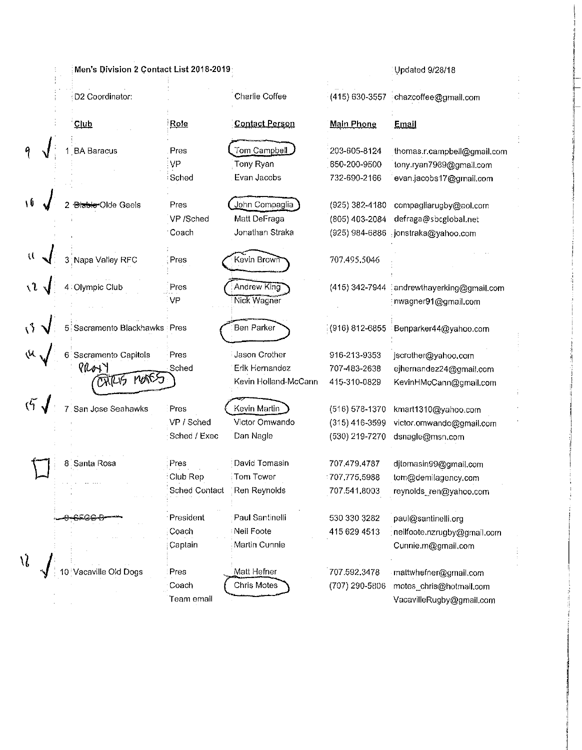|                            | Men's Division 2 Contact List 2018-2019: |                      |                                   |                   | Updated 9/28/18                                                 |
|----------------------------|------------------------------------------|----------------------|-----------------------------------|-------------------|-----------------------------------------------------------------|
|                            | D2 Coordinator:                          |                      | Charlie Coffee                    |                   | (415) 630-3557 chazcoffee@gmail.com                             |
|                            | Club                                     | Role                 | <b>Contact Person</b>             | <b>Main Phone</b> | Email                                                           |
|                            | <b>BA Baracus</b>                        | Pres                 | Tom Campbell                      | 203-605-8124      | thomas.r.campbell@gmail.com                                     |
|                            |                                          | VP                   | Tony Ryan                         | 650-200-9500      | tony.ryan7989@gmail.com                                         |
|                            |                                          | Sched                | Evan Jacobs                       | 732-690-2166      | evan.jacobs17@gmail.com                                         |
| ١ΰ                         | <b>Biable Olde Gaels</b>                 | Pres                 | John Compaglia                    | (925) 382-4180    | compagliarugby@aol.com                                          |
|                            |                                          | VP /Sched            | Matt DeFraga                      | (805) 403-2084    | defraga@sbcglobal.net                                           |
|                            |                                          | Coach                | Jonathan Straka                   | (925) 984-6886    | jonstraka@yahoo.com                                             |
|                            | Napa Valley RFC                          | Pres                 | Kevin Brown                       | 707.495.5046      |                                                                 |
|                            | : Olympic Club                           | Pres<br>VP           | Andrew King<br><b>Nick Wagner</b> | (415) 342-7944    | andrewthayerking@gmail.com<br>nwagner91@gmail.com               |
|                            | Sacramento Blackhawks Pres               |                      | Ben Parker                        |                   | $\frac{1}{2}(916)$ 812-6855 $\frac{1}{2}$ Benparker44@yahoo.com |
|                            | Sacramento Capitols                      | Pres                 | <b>Jason Crother</b>              | 916-213-9353      | jscrother@yahoo.com                                             |
|                            | PROYY                                    | Sched                | Erik Hernandez                    | 707-483-2638      | ejhernandez24@gmail.com                                         |
|                            | <b>ONTUS MONSS</b>                       |                      | Kevin Holland-McCann              | 415-310-0829      | KevinHMcCann@gmail.com                                          |
|                            | San Jose Seahawks                        | Pres                 | Kevin Martin                      | (516) 578-1370    | kmart1310@yahoo.com                                             |
|                            |                                          | VP / Sched           | Victor Omwando                    | $(315)$ 416-3599  | victor.omwando@gmail.com                                        |
|                            |                                          | Sched / Exec         | Dan Nagle                         | (530) 219-7270    | dsnagle@msn.com                                                 |
|                            | 8 Santa Rosa                             | Pres                 | David Tomasin                     | 707,479,4787      | djtomasin99@gmail.com                                           |
|                            |                                          | Club Rep             | Tom Tower                         | 707.775.5988      | tom@demilagency.com                                             |
|                            |                                          | <b>Sched Contact</b> | Ren Reynolds                      | 707.541.8003      | reynolds_ren@yahoo.com                                          |
|                            | 8538                                     | President            | Paul Santinelli                   | 530 330 3282      | paul@santinelli.org                                             |
|                            |                                          | Coach                | Neil Foote                        | 415 629 4513      | nellfoote.nzrugby@gmail.com                                     |
|                            |                                          | Captain              | Martin Cunnie                     |                   | Cunnie.m@gmail.com                                              |
| $\mathcal{N}_{\mathbf{c}}$ | acaville Old Dogs                        | Pres                 | Matt Hefner                       | 707.592.3478      | mattwhefner@gmail.com                                           |
|                            |                                          | Coach                | Chris Motes                       | (707) 290-5806    | motes_chris@hotmail.com                                         |
|                            |                                          | Team email           |                                   |                   | VacavilleRugby@gmail.com                                        |